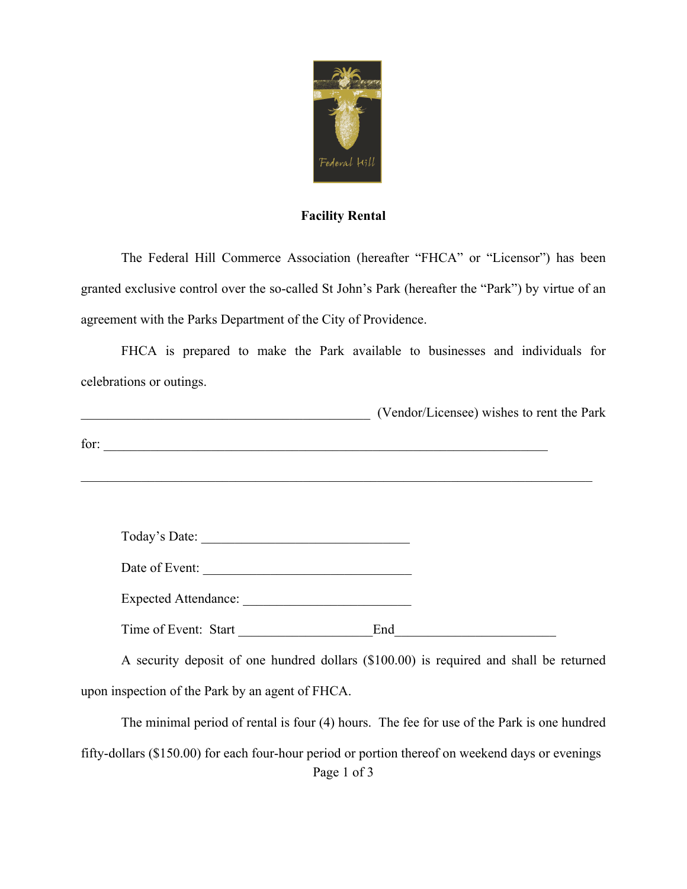

## **Facility Rental**

The Federal Hill Commerce Association (hereafter "FHCA" or "Licensor") has been granted exclusive control over the so-called St John's Park (hereafter the "Park") by virtue of an agreement with the Parks Department of the City of Providence.

FHCA is prepared to make the Park available to businesses and individuals for celebrations or outings.

|      |                | (Vendor/Licensee) wishes to rent the Park |  |
|------|----------------|-------------------------------------------|--|
| for: |                |                                           |  |
|      |                |                                           |  |
|      | Today's Date:  |                                           |  |
|      | Date of Event: |                                           |  |

Time of Event: Start End

Expected Attendance:

A security deposit of one hundred dollars (\$100.00) is required and shall be returned upon inspection of the Park by an agent of FHCA.

Page 1 of 3 The minimal period of rental is four (4) hours. The fee for use of the Park is one hundred fifty-dollars (\$150.00) for each four-hour period or portion thereof on weekend days or evenings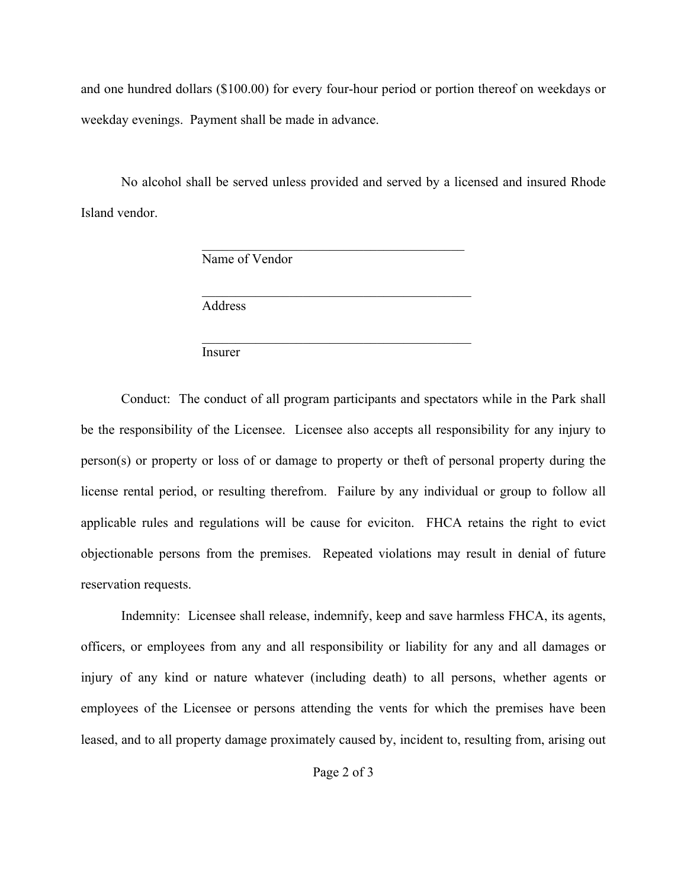and one hundred dollars (\$100.00) for every four-hour period or portion thereof on weekdays or weekday evenings. Payment shall be made in advance.

No alcohol shall be served unless provided and served by a licensed and insured Rhode Island vendor.

 $\mathcal{L}_\text{max}$  and  $\mathcal{L}_\text{max}$  and  $\mathcal{L}_\text{max}$  and  $\mathcal{L}_\text{max}$ 

Name of Vendor

 $\mathcal{L}_\text{max}$  , and the contract of the contract of the contract of the contract of the contract of the contract of the contract of the contract of the contract of the contract of the contract of the contract of the contr Address

 $\mathcal{L}_\text{max}$  , and the contract of the contract of the contract of the contract of the contract of the contract of the contract of the contract of the contract of the contract of the contract of the contract of the contr Insurer

Conduct: The conduct of all program participants and spectators while in the Park shall be the responsibility of the Licensee. Licensee also accepts all responsibility for any injury to person(s) or property or loss of or damage to property or theft of personal property during the license rental period, or resulting therefrom. Failure by any individual or group to follow all applicable rules and regulations will be cause for eviciton. FHCA retains the right to evict objectionable persons from the premises. Repeated violations may result in denial of future reservation requests.

Indemnity: Licensee shall release, indemnify, keep and save harmless FHCA, its agents, officers, or employees from any and all responsibility or liability for any and all damages or injury of any kind or nature whatever (including death) to all persons, whether agents or employees of the Licensee or persons attending the vents for which the premises have been leased, and to all property damage proximately caused by, incident to, resulting from, arising out